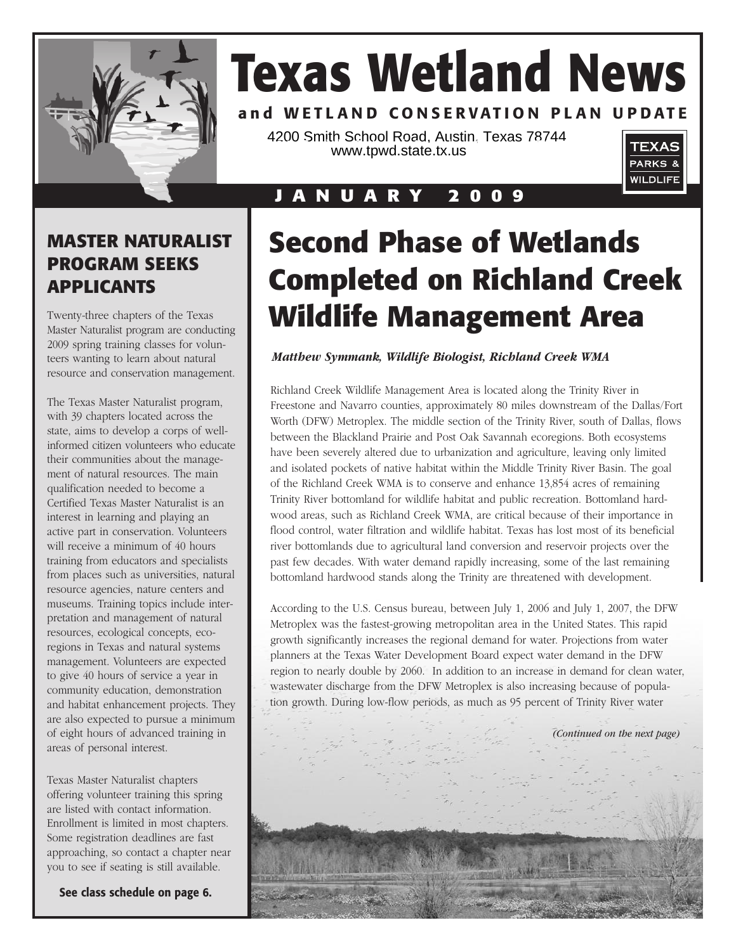

# **Texas Wetland News**

## and WETLAND CONSERVATION PLAN UPDATE

4200 Smith School Road, Austin, Texas 78744  $\frac{1}{200}$  small bottom redd,  $\frac{1}{200}$  is  $\frac{1}{200}$  or  $\frac{1}{200}$ .



## **J A N U A R Y 2 0 0 9**

## **MASTER NATURALIST PROGRAM SEEKS APPLICANTS**

Twenty-three chapters of the Texas Master Naturalist program are conducting 2009 spring training classes for volunteers wanting to learn about natural resource and conservation management.

The Texas Master Naturalist program, with 39 chapters located across the state, aims to develop a corps of wellinformed citizen volunteers who educate their communities about the management of natural resources. The main qualification needed to become a Certified Texas Master Naturalist is an interest in learning and playing an active part in conservation. Volunteers will receive a minimum of 40 hours training from educators and specialists from places such as universities, natural resource agencies, nature centers and museums. Training topics include interpretation and management of natural resources, ecological concepts, ecoregions in Texas and natural systems management. Volunteers are expected to give 40 hours of service a year in community education, demonstration and habitat enhancement projects. They are also expected to pursue a minimum of eight hours of advanced training in areas of personal interest.

Texas Master Naturalist chapters offering volunteer training this spring are listed with contact information. Enrollment is limited in most chapters. Some registration deadlines are fast approaching, so contact a chapter near you to see if seating is still available.

**See class schedule on page 6.**

# **Second Phase of Wetlands Completed on Richland Creek Wildlife Management Area**

### *Matthew Symmank, Wildlife Biologist, Richland Creek WMA*

Richland Creek Wildlife Management Area is located along the Trinity River in Freestone and Navarro counties, approximately 80 miles downstream of the Dallas/Fort Worth (DFW) Metroplex. The middle section of the Trinity River, south of Dallas, flows between the Blackland Prairie and Post Oak Savannah ecoregions. Both ecosystems have been severely altered due to urbanization and agriculture, leaving only limited and isolated pockets of native habitat within the Middle Trinity River Basin. The goal of the Richland Creek WMA is to conserve and enhance 13,854 acres of remaining Trinity River bottomland for wildlife habitat and public recreation. Bottomland hardwood areas, such as Richland Creek WMA, are critical because of their importance in flood control, water filtration and wildlife habitat. Texas has lost most of its beneficial river bottomlands due to agricultural land conversion and reservoir projects over the past few decades. With water demand rapidly increasing, some of the last remaining bottomland hardwood stands along the Trinity are threatened with development.

According to the U.S. Census bureau, between July 1, 2006 and July 1, 2007, the DFW Metroplex was the fastest-growing metropolitan area in the United States. This rapid growth significantly increases the regional demand for water. Projections from water planners at the Texas Water Development Board expect water demand in the DFW region to nearly double by 2060. In addition to an increase in demand for clean water, wastewater discharge from the DFW Metroplex is also increasing because of population growth. During low-flow periods, as much as 95 percent of Trinity River water

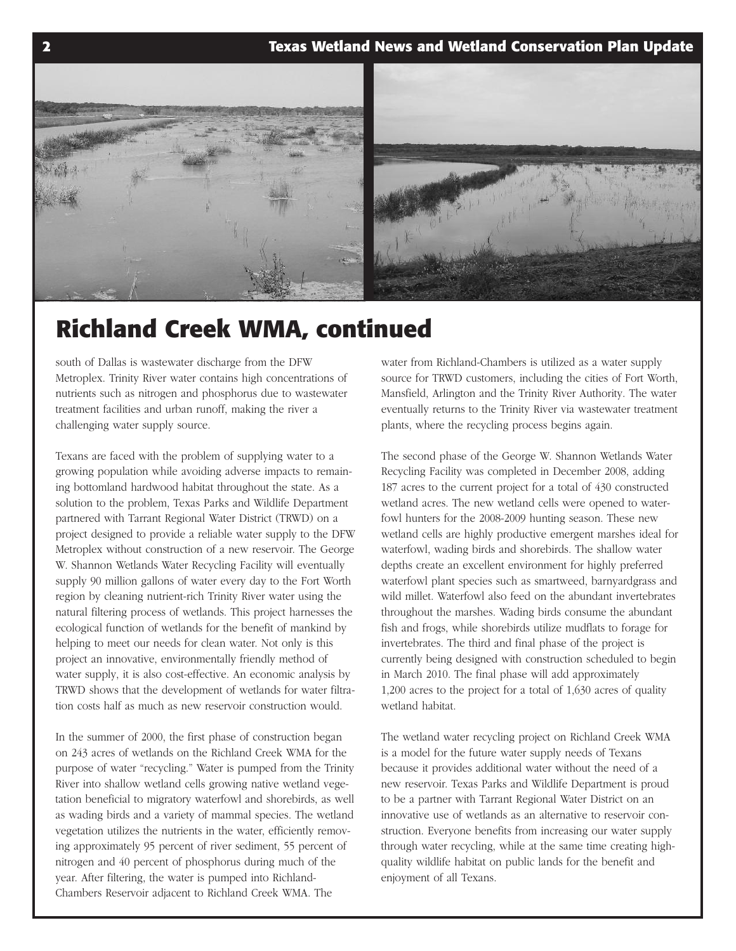### **2 Texas Wetland News and Wetland Conservation Plan Update**



# **Richland Creek WMA, continued**

south of Dallas is wastewater discharge from the DFW Metroplex. Trinity River water contains high concentrations of nutrients such as nitrogen and phosphorus due to wastewater treatment facilities and urban runoff, making the river a challenging water supply source.

Texans are faced with the problem of supplying water to a growing population while avoiding adverse impacts to remaining bottomland hardwood habitat throughout the state. As a solution to the problem, Texas Parks and Wildlife Department partnered with Tarrant Regional Water District (TRWD) on a project designed to provide a reliable water supply to the DFW Metroplex without construction of a new reservoir. The George W. Shannon Wetlands Water Recycling Facility will eventually supply 90 million gallons of water every day to the Fort Worth region by cleaning nutrient-rich Trinity River water using the natural filtering process of wetlands. This project harnesses the ecological function of wetlands for the benefit of mankind by helping to meet our needs for clean water. Not only is this project an innovative, environmentally friendly method of water supply, it is also cost-effective. An economic analysis by TRWD shows that the development of wetlands for water filtration costs half as much as new reservoir construction would.

In the summer of 2000, the first phase of construction began on 243 acres of wetlands on the Richland Creek WMA for the purpose of water "recycling." Water is pumped from the Trinity River into shallow wetland cells growing native wetland vegetation beneficial to migratory waterfowl and shorebirds, as well as wading birds and a variety of mammal species. The wetland vegetation utilizes the nutrients in the water, efficiently removing approximately 95 percent of river sediment, 55 percent of nitrogen and 40 percent of phosphorus during much of the year. After filtering, the water is pumped into Richland-Chambers Reservoir adjacent to Richland Creek WMA. The

water from Richland-Chambers is utilized as a water supply source for TRWD customers, including the cities of Fort Worth, Mansfield, Arlington and the Trinity River Authority. The water eventually returns to the Trinity River via wastewater treatment plants, where the recycling process begins again.

The second phase of the George W. Shannon Wetlands Water Recycling Facility was completed in December 2008, adding 187 acres to the current project for a total of 430 constructed wetland acres. The new wetland cells were opened to waterfowl hunters for the 2008-2009 hunting season. These new wetland cells are highly productive emergent marshes ideal for waterfowl, wading birds and shorebirds. The shallow water depths create an excellent environment for highly preferred waterfowl plant species such as smartweed, barnyardgrass and wild millet. Waterfowl also feed on the abundant invertebrates throughout the marshes. Wading birds consume the abundant fish and frogs, while shorebirds utilize mudflats to forage for invertebrates. The third and final phase of the project is currently being designed with construction scheduled to begin in March 2010. The final phase will add approximately 1,200 acres to the project for a total of 1,630 acres of quality wetland habitat.

The wetland water recycling project on Richland Creek WMA is a model for the future water supply needs of Texans because it provides additional water without the need of a new reservoir. Texas Parks and Wildlife Department is proud to be a partner with Tarrant Regional Water District on an innovative use of wetlands as an alternative to reservoir construction. Everyone benefits from increasing our water supply through water recycling, while at the same time creating highquality wildlife habitat on public lands for the benefit and enjoyment of all Texans.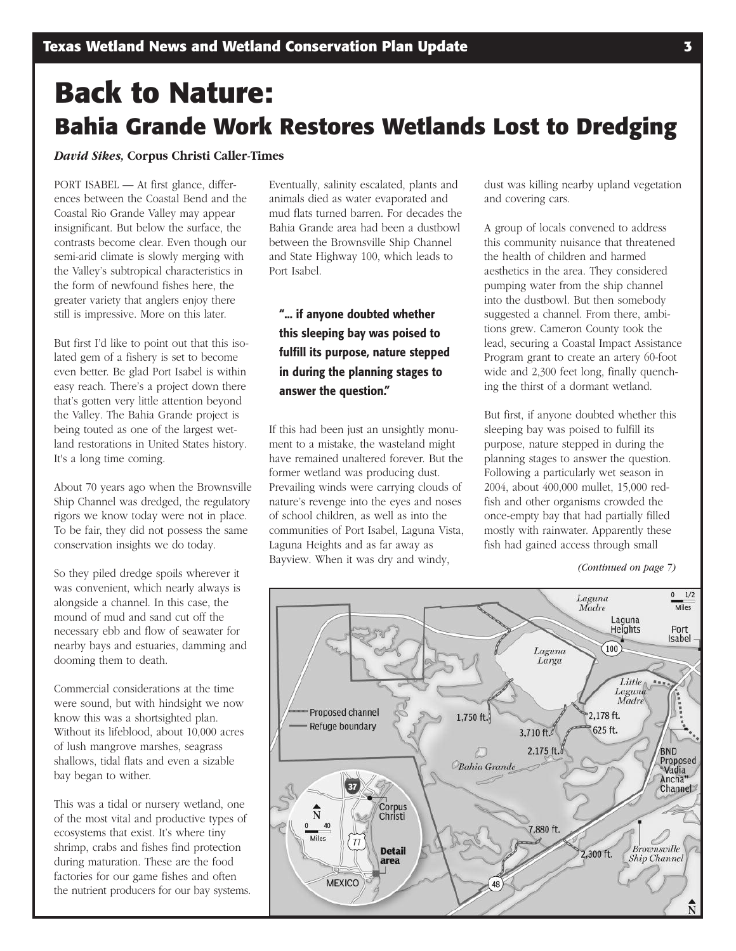# **Back to Nature: Bahia Grande Work Restores Wetlands Lost to Dredging**

### *David Sikes,* **Corpus Christi Caller-Times**

PORT ISABEL — At first glance, differences between the Coastal Bend and the Coastal Rio Grande Valley may appear insignificant. But below the surface, the contrasts become clear. Even though our semi-arid climate is slowly merging with the Valley's subtropical characteristics in the form of newfound fishes here, the greater variety that anglers enjoy there still is impressive. More on this later.

But first I'd like to point out that this isolated gem of a fishery is set to become even better. Be glad Port Isabel is within easy reach. There's a project down there that's gotten very little attention beyond the Valley. The Bahia Grande project is being touted as one of the largest wetland restorations in United States history. It's a long time coming.

About 70 years ago when the Brownsville Ship Channel was dredged, the regulatory rigors we know today were not in place. To be fair, they did not possess the same conservation insights we do today.

So they piled dredge spoils wherever it was convenient, which nearly always is alongside a channel. In this case, the mound of mud and sand cut off the necessary ebb and flow of seawater for nearby bays and estuaries, damming and dooming them to death.

Commercial considerations at the time were sound, but with hindsight we now know this was a shortsighted plan. Without its lifeblood, about 10,000 acres of lush mangrove marshes, seagrass shallows, tidal flats and even a sizable bay began to wither.

This was a tidal or nursery wetland, one of the most vital and productive types of ecosystems that exist. It's where tiny shrimp, crabs and fishes find protection during maturation. These are the food factories for our game fishes and often the nutrient producers for our bay systems.

Eventually, salinity escalated, plants and animals died as water evaporated and mud flats turned barren. For decades the Bahia Grande area had been a dustbowl between the Brownsville Ship Channel and State Highway 100, which leads to Port Isabel.

## **"... if anyone doubted whether this sleeping bay was poised to fulfill its purpose, nature stepped in during the planning stages to answer the question."**

If this had been just an unsightly monument to a mistake, the wasteland might have remained unaltered forever. But the former wetland was producing dust. Prevailing winds were carrying clouds of nature's revenge into the eyes and noses of school children, as well as into the communities of Port Isabel, Laguna Vista, Laguna Heights and as far away as Bayview. When it was dry and windy,

dust was killing nearby upland vegetation and covering cars.

A group of locals convened to address this community nuisance that threatened the health of children and harmed aesthetics in the area. They considered pumping water from the ship channel into the dustbowl. But then somebody suggested a channel. From there, ambitions grew. Cameron County took the lead, securing a Coastal Impact Assistance Program grant to create an artery 60-foot wide and 2,300 feet long, finally quenching the thirst of a dormant wetland.

But first, if anyone doubted whether this sleeping bay was poised to fulfill its purpose, nature stepped in during the planning stages to answer the question. Following a particularly wet season in 2004, about 400,000 mullet, 15,000 redfish and other organisms crowded the once-empty bay that had partially filled mostly with rainwater. Apparently these fish had gained access through small

*<sup>(</sup>Continued on page 7)*

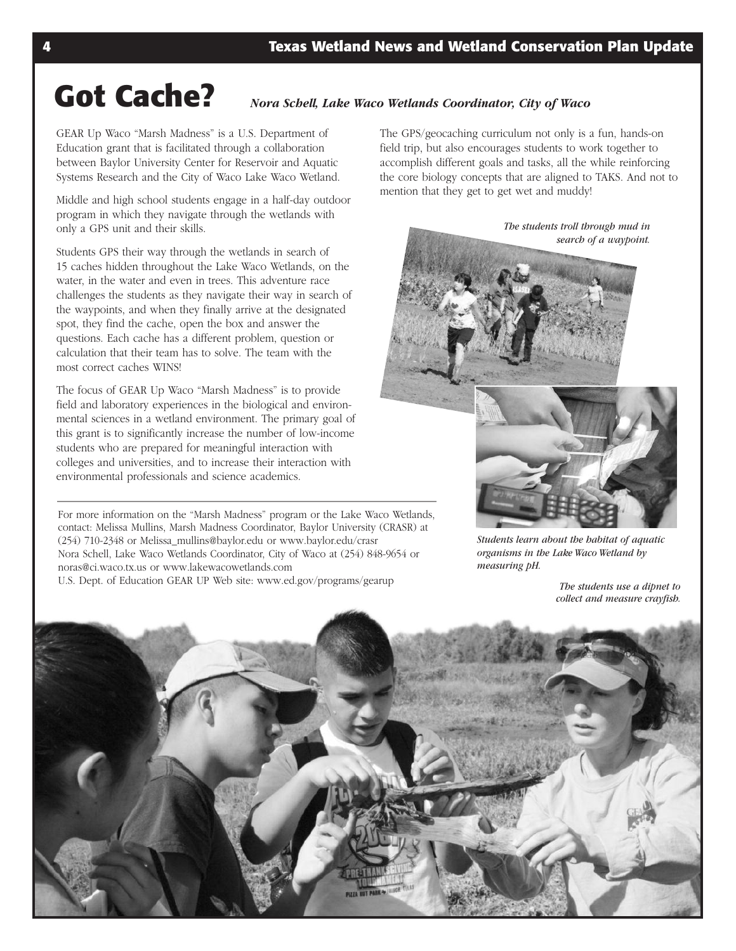# **Got Cache?** *Nora Schell, Lake Waco Wetlands Coordinator, City of Waco*

GEAR Up Waco "Marsh Madness" is a U.S. Department of Education grant that is facilitated through a collaboration between Baylor University Center for Reservoir and Aquatic Systems Research and the City of Waco Lake Waco Wetland.

Middle and high school students engage in a half-day outdoor program in which they navigate through the wetlands with only a GPS unit and their skills.

Students GPS their way through the wetlands in search of 15 caches hidden throughout the Lake Waco Wetlands, on the water, in the water and even in trees. This adventure race challenges the students as they navigate their way in search of the waypoints, and when they finally arrive at the designated spot, they find the cache, open the box and answer the questions. Each cache has a different problem, question or calculation that their team has to solve. The team with the most correct caches WINS!

The focus of GEAR Up Waco "Marsh Madness" is to provide field and laboratory experiences in the biological and environmental sciences in a wetland environment. The primary goal of this grant is to significantly increase the number of low-income students who are prepared for meaningful interaction with colleges and universities, and to increase their interaction with environmental professionals and science academics.

For more information on the "Marsh Madness" program or the Lake Waco Wetlands, contact: Melissa Mullins, Marsh Madness Coordinator, Baylor University (CRASR) at (254) 7102348 or Melissa\_mullins@baylor.edu or www.baylor.edu/crasr Nora Schell, Lake Waco Wetlands Coordinator, City of Waco at (254) 848-9654 or noras@ci.waco.tx.us or www.lakewacowetlands.com U.S. Dept. of Education GEAR UP Web site: www.ed.gov/programs/gearup *The students use <sup>a</sup> dipnet to*

The GPS/geocaching curriculum not only is a fun, hands-on field trip, but also encourages students to work together to accomplish different goals and tasks, all the while reinforcing the core biology concepts that are aligned to TAKS. And not to mention that they get to get wet and muddy!



*Students learn about the habitat of aquatic organisms in the Lake Waco Wetland by measuring pH.*

*collect and measure crayfish.*

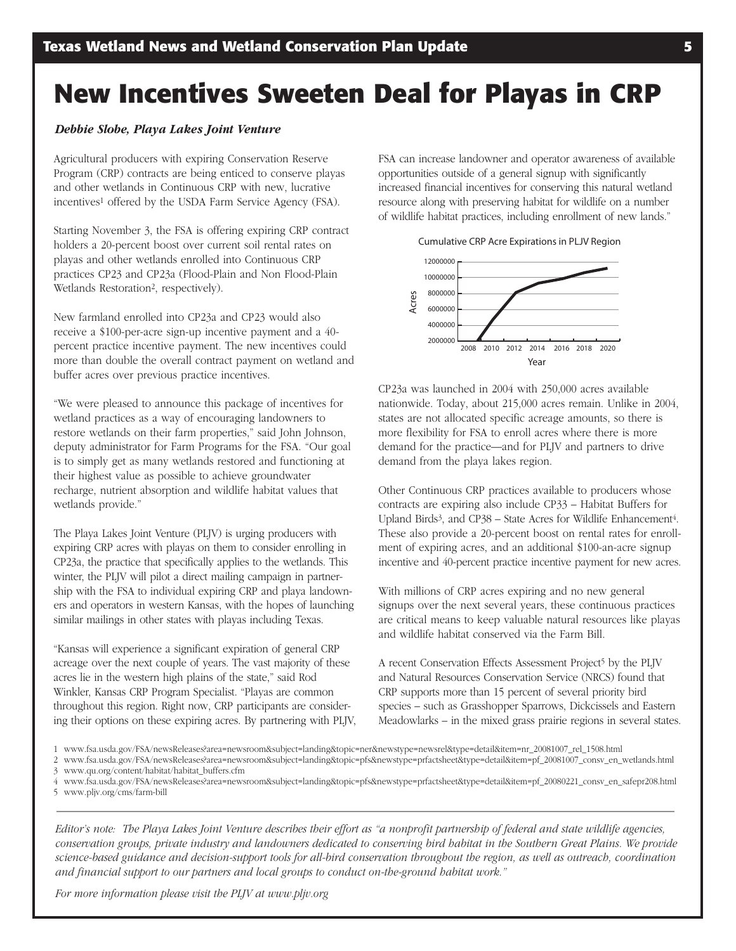# **New Incentives Sweeten Deal for Playas in CRP**

### *Debbie Slobe, Playa Lakes Joint Venture*

Agricultural producers with expiring Conservation Reserve Program (CRP) contracts are being enticed to conserve playas and other wetlands in Continuous CRP with new, lucrative incentives<sup>1</sup> offered by the USDA Farm Service Agency (FSA).

Starting November 3, the FSA is offering expiring CRP contract holders a 20-percent boost over current soil rental rates on playas and other wetlands enrolled into Continuous CRP practices CP23 and CP23a (Flood-Plain and Non Flood-Plain Wetlands Restoration<sup>2</sup>, respectively).

New farmland enrolled into CP23a and CP23 would also receive a \$100-per-acre sign-up incentive payment and a 40percent practice incentive payment. The new incentives could more than double the overall contract payment on wetland and buffer acres over previous practice incentives.

"We were pleased to announce this package of incentives for wetland practices as a way of encouraging landowners to restore wetlands on their farm properties," said John Johnson, deputy administrator for Farm Programs for the FSA. "Our goal is to simply get as many wetlands restored and functioning at their highest value as possible to achieve groundwater recharge, nutrient absorption and wildlife habitat values that wetlands provide."

The Playa Lakes Joint Venture (PLJV) is urging producers with expiring CRP acres with playas on them to consider enrolling in CP23a, the practice that specifically applies to the wetlands. This winter, the PLJV will pilot a direct mailing campaign in partnership with the FSA to individual expiring CRP and playa landowners and operators in western Kansas, with the hopes of launching similar mailings in other states with playas including Texas.

"Kansas will experience a significant expiration of general CRP acreage over the next couple of years. The vast majority of these acres lie in the western high plains of the state," said Rod Winkler, Kansas CRP Program Specialist. "Playas are common throughout this region. Right now, CRP participants are considering their options on these expiring acres. By partnering with PLJV, FSA can increase landowner and operator awareness of available opportunities outside of a general signup with significantly increased financial incentives for conserving this natural wetland resource along with preserving habitat for wildlife on a number of wildlife habitat practices, including enrollment of new lands."

Cumulative CRP Acre Expirations in PLJV Region



CP23a was launched in 2004 with 250,000 acres available nationwide. Today, about 215,000 acres remain. Unlike in 2004, states are not allocated specific acreage amounts, so there is more flexibility for FSA to enroll acres where there is more demand for the practice—and for PLJV and partners to drive demand from the playa lakes region.

Other Continuous CRP practices available to producers whose contracts are expiring also include CP33 – Habitat Buffers for Upland Birds<sup>3</sup>, and CP38 – State Acres for Wildlife Enhancement<sup>4</sup>. These also provide a 20-percent boost on rental rates for enrollment of expiring acres, and an additional \$100-an-acre signup incentive and 40-percent practice incentive payment for new acres.

With millions of CRP acres expiring and no new general signups over the next several years, these continuous practices are critical means to keep valuable natural resources like playas and wildlife habitat conserved via the Farm Bill.

A recent Conservation Effects Assessment Project<sup>5</sup> by the PLJV and Natural Resources Conservation Service (NRCS) found that CRP supports more than 15 percent of several priority bird species – such as Grasshopper Sparrows, Dickcissels and Eastern Meadowlarks – in the mixed grass prairie regions in several states.

- 1 www.fsa.usda.gov/FSA/newsReleases?area=newsroom&subject=landing&topic=ner&newstype=newsrel&type=detail&item=nr\_20081007\_rel\_1508.html
- 2 www.fsa.usda.gov/FSA/newsReleases?area=newsroom&subject=landing&topic=pfs&newstype=prfactsheet&type=detail&item=pf\_20081007\_consv\_en\_wetlands.html 3 www.qu.org/content/habitat/habitat\_buffers.cfm
- 4 www.fsa.usda.gov/FSA/newsReleases?area=newsroom&subject=landing&topic=pfs&newstype=prfactsheet&type=detail&item=pf\_20080221\_consv\_en\_safepr208.html 5 www.pljv.org/cms/farmbill

Editor's note: The Playa Lakes Joint Venture describes their effort as "a nonprofit partnership of federal and state wildlife agencies, *conservation groups, private industry and landowners dedicated to conserving bird habitat in the Southern Great Plains. We provide* science-based guidance and decision-support tools for all-bird conservation throughout the region, as well as outreach, coordination *and financial support to our partners and local groups to conduct ontheground habitat work."*

*For more information please visit the PLJV at www.pljv.org*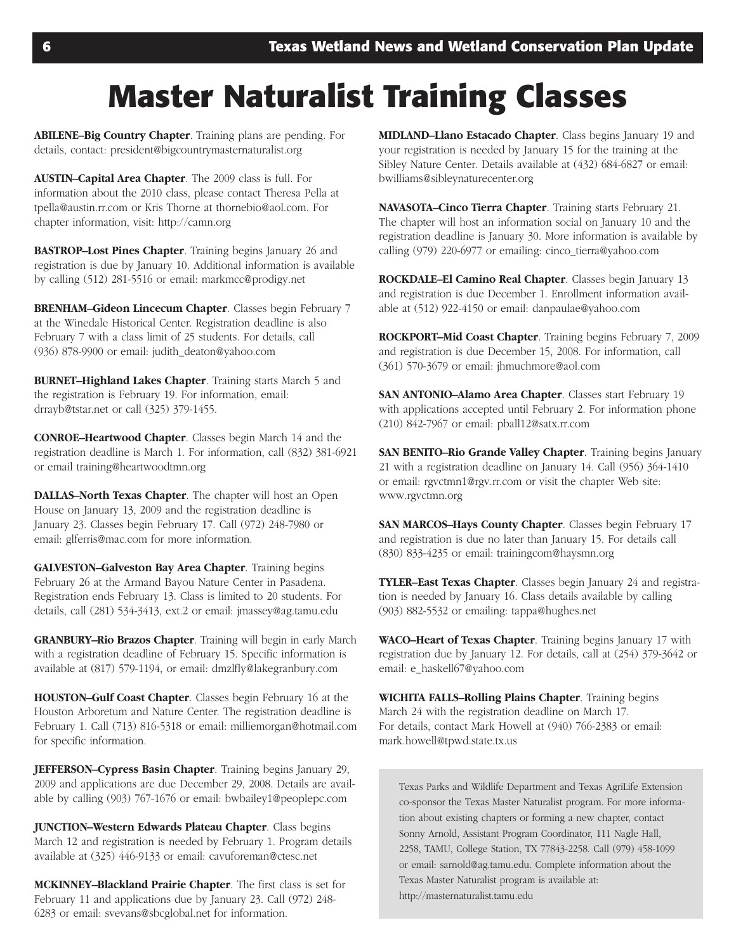# **Master Naturalist Training Classes**

**ABILENE–Big Country Chapter**. Training plans are pending. For details, contact: president@bigcountrymasternaturalist.org

**AUSTIN–Capital Area Chapter**. The 2009 class is full. For information about the 2010 class, please contact Theresa Pella at tpella@austin.rr.com or Kris Thorne at thornebio@aol.com. For chapter information, visit: http://camn.org

**BASTROP–Lost Pines Chapter**. Training begins January 26 and registration is due by January 10. Additional information is available by calling (512) 281-5516 or email: markmcc@prodigy.net

**BRENHAM–Gideon Lincecum Chapter**. Classes begin February 7 at the Winedale Historical Center. Registration deadline is also February 7 with a class limit of 25 students. For details, call (936) 878-9900 or email: judith\_deaton@yahoo.com

**BURNET–Highland Lakes Chapter**. Training starts March 5 and the registration is February 19. For information, email: drrayb@tstar.net or call (325) 379-1455.

**CONROE–Heartwood Chapter**. Classes begin March 14 and the registration deadline is March 1. For information, call (832) 381-6921 or email training@heartwoodtmn.org

**DALLAS–North Texas Chapter**. The chapter will host an Open House on January 13, 2009 and the registration deadline is January 23. Classes begin February 17. Call (972) 248-7980 or email: glferris@mac.com for more information.

**GALVESTON–Galveston Bay Area Chapter**. Training begins February 26 at the Armand Bayou Nature Center in Pasadena. Registration ends February 13. Class is limited to 20 students. For details, call (281) 5343413, ext.2 or email: jmassey@ag.tamu.edu

**GRANBURY–Rio Brazos Chapter**. Training will begin in early March with a registration deadline of February 15. Specific information is available at (817) 579-1194, or email: dmzlfly@lakegranbury.com

**HOUSTON–Gulf Coast Chapter**. Classes begin February 16 at the Houston Arboretum and Nature Center. The registration deadline is February 1. Call (713) 816-5318 or email: milliemorgan@hotmail.com for specific information.

**JEFFERSON–Cypress Basin Chapter**. Training begins January 29, 2009 and applications are due December 29, 2008. Details are available by calling (903) 767-1676 or email: bwbailey1@peoplepc.com

**JUNCTION–Western Edwards Plateau Chapter**. Class begins March 12 and registration is needed by February 1. Program details available at (325) 446-9133 or email: cavuforeman@ctesc.net

**MCKINNEY–Blackland Prairie Chapter**. The first class is set for February 11 and applications due by January 23. Call (972) 248 6283 or email: svevans@sbcglobal.net for information.

**MIDLAND–Llano Estacado Chapter**. Class begins January 19 and your registration is needed by January 15 for the training at the Sibley Nature Center. Details available at (432) 684-6827 or email: bwilliams@sibleynaturecenter.org

**NAVASOTA–Cinco Tierra Chapter**. Training starts February 21. The chapter will host an information social on January 10 and the registration deadline is January 30. More information is available by calling (979) 220-6977 or emailing: cinco\_tierra@yahoo.com

**ROCKDALE–El Camino Real Chapter**. Classes begin January 13 and registration is due December 1. Enrollment information available at (512) 922-4150 or email: danpaulae@yahoo.com

**ROCKPORT–Mid Coast Chapter**. Training begins February 7, 2009 and registration is due December 15, 2008. For information, call (361) 570-3679 or email: jhmuchmore@aol.com

**SAN ANTONIO–Alamo Area Chapter**. Classes start February 19 with applications accepted until February 2. For information phone (210) 8427967 or email: pball12@satx.rr.com

**SAN BENITO–Rio Grande Valley Chapter**. Training begins January 21 with a registration deadline on January 14. Call (956) 364-1410 or email: rgvctmn1@rgv.rr.com or visit the chapter Web site: www.rgvctmn.org

**SAN MARCOS–Hays County Chapter**. Classes begin February 17 and registration is due no later than January 15. For details call (830) 8334235 or email: trainingcom@haysmn.org

**TYLER–East Texas Chapter**. Classes begin January 24 and registration is needed by January 16. Class details available by calling (903) 8825532 or emailing: tappa@hughes.net

**WACO–Heart of Texas Chapter**. Training begins January 17 with registration due by January 12. For details, call at (254) 379-3642 or email: e\_haskell67@yahoo.com

**WICHITA FALLS–Rolling Plains Chapter**. Training begins March 24 with the registration deadline on March 17. For details, contact Mark Howell at (940) 766-2383 or email: mark.howell@tpwd.state.tx.us

Texas Parks and Wildlife Department and Texas AgriLife Extension co-sponsor the Texas Master Naturalist program. For more information about existing chapters or forming a new chapter, contact Sonny Arnold, Assistant Program Coordinator, 111 Nagle Hall, 2258, TAMU, College Station, TX 77843-2258. Call (979) 458-1099 or email: sarnold@ag.tamu.edu. Complete information about the Texas Master Naturalist program is available at: http://masternaturalist.tamu.edu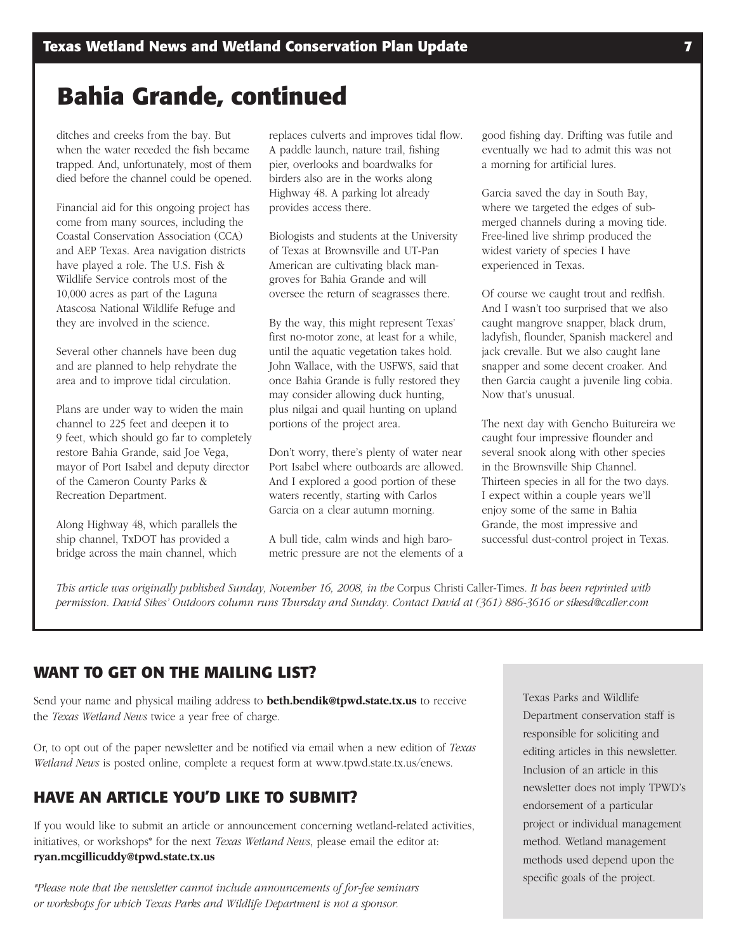# **Bahia Grande, continued**

ditches and creeks from the bay. But when the water receded the fish became trapped. And, unfortunately, most of them died before the channel could be opened.

Financial aid for this ongoing project has come from many sources, including the Coastal Conservation Association (CCA) and AEP Texas. Area navigation districts have played a role. The U.S. Fish & Wildlife Service controls most of the 10,000 acres as part of the Laguna Atascosa National Wildlife Refuge and they are involved in the science.

Several other channels have been dug and are planned to help rehydrate the area and to improve tidal circulation.

Plans are under way to widen the main channel to 225 feet and deepen it to 9 feet, which should go far to completely restore Bahia Grande, said Joe Vega, mayor of Port Isabel and deputy director of the Cameron County Parks & Recreation Department.

Along Highway 48, which parallels the ship channel, TxDOT has provided a bridge across the main channel, which

replaces culverts and improves tidal flow. A paddle launch, nature trail, fishing pier, overlooks and boardwalks for birders also are in the works along Highway 48. A parking lot already provides access there.

Biologists and students at the University of Texas at Brownsville and UT-Pan American are cultivating black mangroves for Bahia Grande and will oversee the return of seagrasses there.

By the way, this might represent Texas' first no-motor zone, at least for a while, until the aquatic vegetation takes hold. John Wallace, with the USFWS, said that once Bahia Grande is fully restored they may consider allowing duck hunting, plus nilgai and quail hunting on upland portions of the project area.

Don't worry, there's plenty of water near Port Isabel where outboards are allowed. And I explored a good portion of these waters recently, starting with Carlos Garcia on a clear autumn morning.

A bull tide, calm winds and high barometric pressure are not the elements of a

good fishing day. Drifting was futile and eventually we had to admit this was not a morning for artificial lures.

Garcia saved the day in South Bay, where we targeted the edges of submerged channels during a moving tide. Freelined live shrimp produced the widest variety of species I have experienced in Texas.

Of course we caught trout and redfish. And I wasn't too surprised that we also caught mangrove snapper, black drum, ladyfish, flounder, Spanish mackerel and jack crevalle. But we also caught lane snapper and some decent croaker. And then Garcia caught a juvenile ling cobia. Now that's unusual.

The next day with Gencho Buitureira we caught four impressive flounder and several snook along with other species in the Brownsville Ship Channel. Thirteen species in all for the two days. I expect within a couple years we'll enjoy some of the same in Bahia Grande, the most impressive and successful dust-control project in Texas.

This article was originally published Sunday, November 16, 2008, in the Corpus Christi Caller-Times. It has been reprinted with permission. David Sikes' Outdoors column runs Thursday and Sunday. Contact David at (361) 886-3616 or sikesd@caller.com

### **WANT TO GET ON THE MAILING LIST?**

Send your name and physical mailing address to **beth.bendik@tpwd.state.tx.us** to receive the *Texas Wetland News* twice a year free of charge.

Or, to opt out of the paper newsletter and be notified via email when a new edition of *Texas Wetland News* is posted online, complete a request form at www.tpwd.state.tx.us/enews.

## **HAVE AN ARTICLE YOU'D LIKE TO SUBMIT?**

If you would like to submit an article or announcement concerning wetland-related activities, initiatives, or workshops\* for the next *Texas Wetland News*, please email the editor at: **ryan.mcgillicuddy@tpwd.state.tx.us**

*\*Please note that the newsletter cannot include announcements of forfee seminars or workshops for which Texas Parks and Wildlife Department is not a sponsor.*

Texas Parks and Wildlife Department conservation staff is responsible for soliciting and editing articles in this newsletter. Inclusion of an article in this newsletter does not imply TPWD's endorsement of a particular project or individual management method. Wetland management methods used depend upon the specific goals of the project.